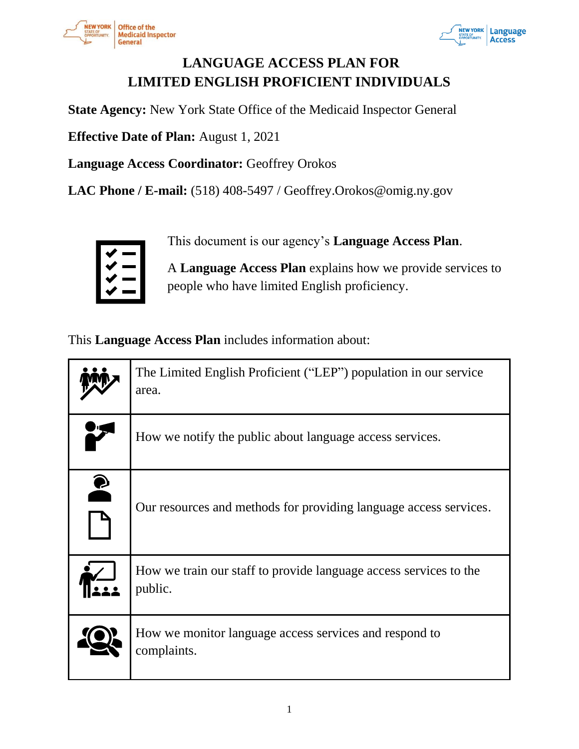



# **LANGUAGE ACCESS PLAN FOR LIMITED ENGLISH PROFICIENT INDIVIDUALS**

**State Agency:** New York State Office of the Medicaid Inspector General

**Effective Date of Plan:** August 1, 2021

**Language Access Coordinator:** Geoffrey Orokos

**LAC Phone / E-mail:** (518) 408-5497 / Geoffrey.Orokos@omig.ny.gov



This document is our agency's **Language Access Plan**.

A **Language Access Plan** explains how we provide services to people who have limited English proficiency.

This **Language Access Plan** includes information about:

|           | The Limited English Proficient ("LEP") population in our service<br>area.    |
|-----------|------------------------------------------------------------------------------|
|           | How we notify the public about language access services.                     |
| $\bullet$ | Our resources and methods for providing language access services.            |
|           | How we train our staff to provide language access services to the<br>public. |
|           | How we monitor language access services and respond to<br>complaints.        |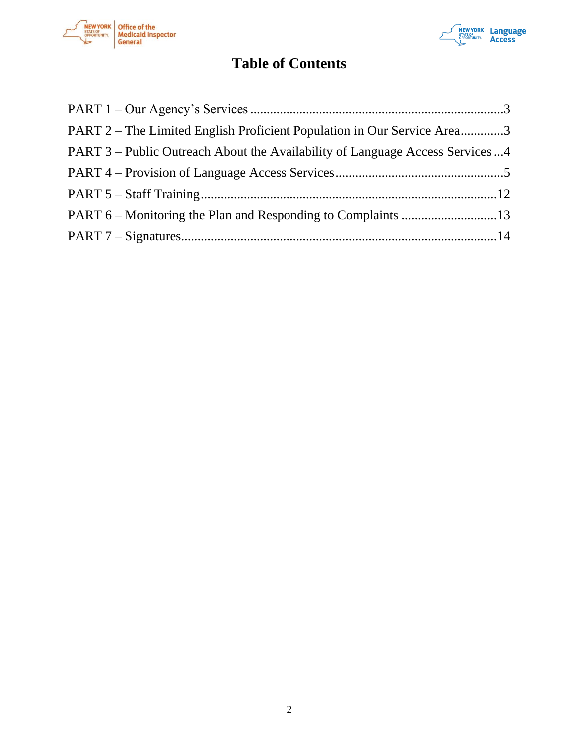



# **Table of Contents**

| PART 2 – The Limited English Proficient Population in Our Service Area3      |  |
|------------------------------------------------------------------------------|--|
| PART 3 – Public Outreach About the Availability of Language Access Services4 |  |
|                                                                              |  |
|                                                                              |  |
|                                                                              |  |
|                                                                              |  |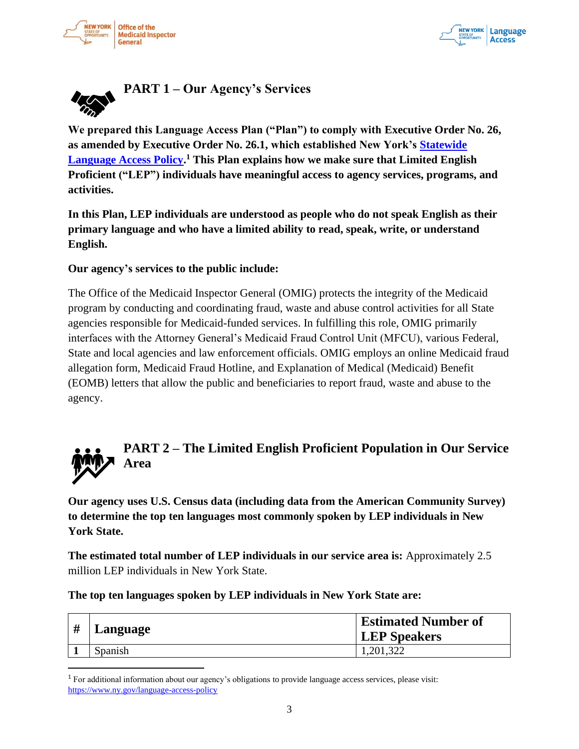



<span id="page-2-0"></span>

**We prepared this Language Access Plan ("Plan") to comply with Executive Order No. 26, as amended by Executive Order No. 26.1, which established New York's Statewide Language Access Policy. <sup>1</sup> This Plan explains how we make sure that Limited English Proficient ("LEP") individuals have meaningful access to agency services, programs, and activities.**

**In this Plan, LEP individuals are understood as people who do not speak English as their primary language and who have a limited ability to read, speak, write, or understand English.** 

#### **Our agency's services to the public include:**

The Office of the Medicaid Inspector General (OMIG) protects the integrity of the Medicaid program by conducting and coordinating fraud, waste and abuse control activities for all State agencies responsible for Medicaid-funded services. In fulfilling this role, OMIG primarily interfaces with the Attorney General's Medicaid Fraud Control Unit (MFCU), various Federal, State and local agencies and law enforcement officials. OMIG employs an online Medicaid fraud allegation form, Medicaid Fraud Hotline, and Explanation of Medical (Medicaid) Benefit (EOMB) letters that allow the public and beneficiaries to report fraud, waste and abuse to the agency.



# <span id="page-2-1"></span>**PART 2 – The Limited English Proficient Population in Our Service Area**

**Our agency uses U.S. Census data (including data from the American Community Survey) to determine the top ten languages most commonly spoken by LEP individuals in New York State.** 

**The estimated total number of LEP individuals in our service area is:** Approximately 2.5 million LEP individuals in New York State.

**The top ten languages spoken by LEP individuals in New York State are:**

| # | Language | <b>Estimated Number of</b><br><b>LEP</b> Speakers |
|---|----------|---------------------------------------------------|
|   | Spanish  | 1,201,322                                         |

<sup>1</sup> For additional information about our agency's obligations to provide language access services, please visit: https://www.ny.gov/language-access-policy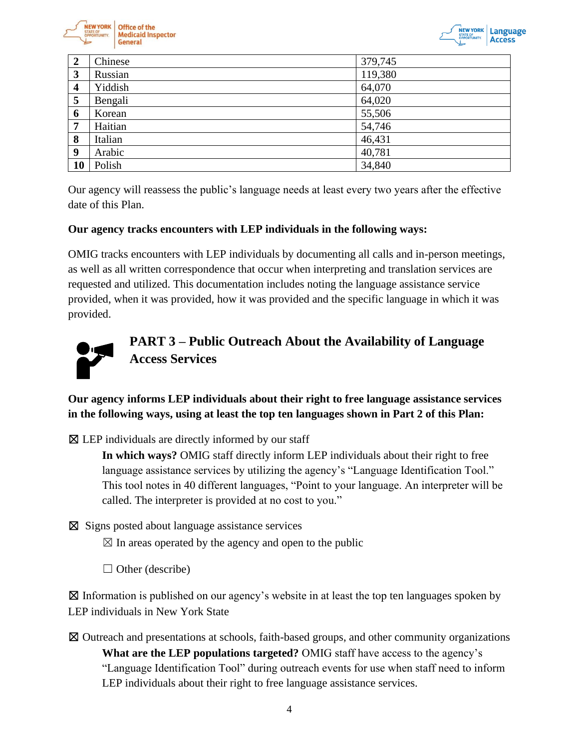



| 2                       | Chinese | 379,745 |
|-------------------------|---------|---------|
| 3                       | Russian | 119,380 |
| $\overline{\mathbf{4}}$ | Yiddish | 64,070  |
| 5                       | Bengali | 64,020  |
| 6                       | Korean  | 55,506  |
| 7                       | Haitian | 54,746  |
| 8                       | Italian | 46,431  |
| 9                       | Arabic  | 40,781  |
| 10                      | Polish  | 34,840  |

Our agency will reassess the public's language needs at least every two years after the effective date of this Plan.

#### **Our agency tracks encounters with LEP individuals in the following ways:**

OMIG tracks encounters with LEP individuals by documenting all calls and in-person meetings, as well as all written correspondence that occur when interpreting and translation services are requested and utilized. This documentation includes noting the language assistance service provided, when it was provided, how it was provided and the specific language in which it was provided.



# <span id="page-3-0"></span>**PART 3 – Public Outreach About the Availability of Language Access Services**

**Our agency informs LEP individuals about their right to free language assistance services in the following ways, using at least the top ten languages shown in Part 2 of this Plan:**

 $\boxtimes$  LEP individuals are directly informed by our staff

**In which ways?** OMIG staff directly inform LEP individuals about their right to free language assistance services by utilizing the agency's "Language Identification Tool." This tool notes in 40 different languages, "Point to your language. An interpreter will be called. The interpreter is provided at no cost to you."

☒ Signs posted about language assistance services

 $\boxtimes$  In areas operated by the agency and open to the public

 $\Box$  Other (describe)

 $\boxtimes$  Information is published on our agency's website in at least the top ten languages spoken by LEP individuals in New York State

☒ Outreach and presentations at schools, faith-based groups, and other community organizations **What are the LEP populations targeted?** OMIG staff have access to the agency's "Language Identification Tool" during outreach events for use when staff need to inform LEP individuals about their right to free language assistance services.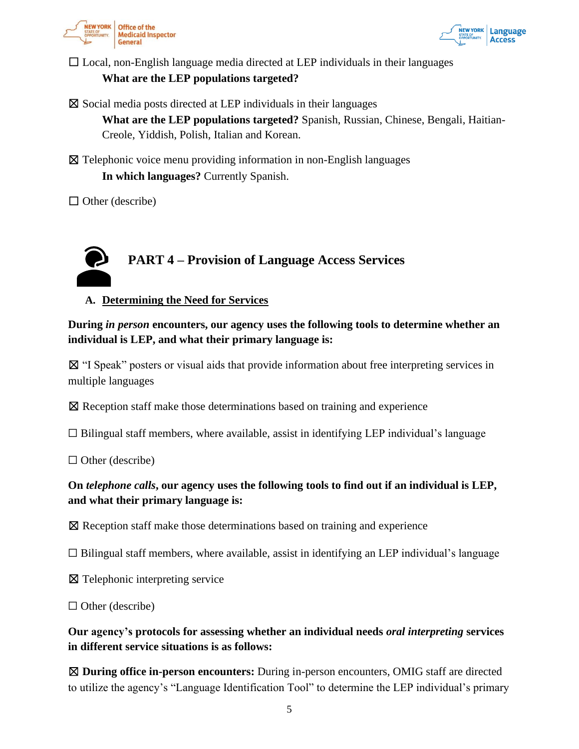



 $\Box$  Local, non-English language media directed at LEP individuals in their languages **What are the LEP populations targeted?**

 $\boxtimes$  Social media posts directed at LEP individuals in their languages

**What are the LEP populations targeted?** Spanish, Russian, Chinese, Bengali, Haitian-Creole, Yiddish, Polish, Italian and Korean.

☒ Telephonic voice menu providing information in non-English languages **In which languages?** Currently Spanish.

 $\Box$  Other (describe)

# <span id="page-4-0"></span>**PART 4 – Provision of Language Access Services**

**A. Determining the Need for Services**

**During** *in person* **encounters, our agency uses the following tools to determine whether an individual is LEP, and what their primary language is:**

☒ "I Speak" posters or visual aids that provide information about free interpreting services in multiple languages

☒ Reception staff make those determinations based on training and experience

 $\Box$  Bilingual staff members, where available, assist in identifying LEP individual's language

 $\Box$  Other (describe)

# **On** *telephone calls***, our agency uses the following tools to find out if an individual is LEP, and what their primary language is:**

☒ Reception staff make those determinations based on training and experience

 $\Box$  Bilingual staff members, where available, assist in identifying an LEP individual's language

☒ Telephonic interpreting service

 $\Box$  Other (describe)

**Our agency's protocols for assessing whether an individual needs** *oral interpreting* **services in different service situations is as follows:**

☒ **During office in-person encounters:** During in-person encounters, OMIG staff are directed to utilize the agency's "Language Identification Tool" to determine the LEP individual's primary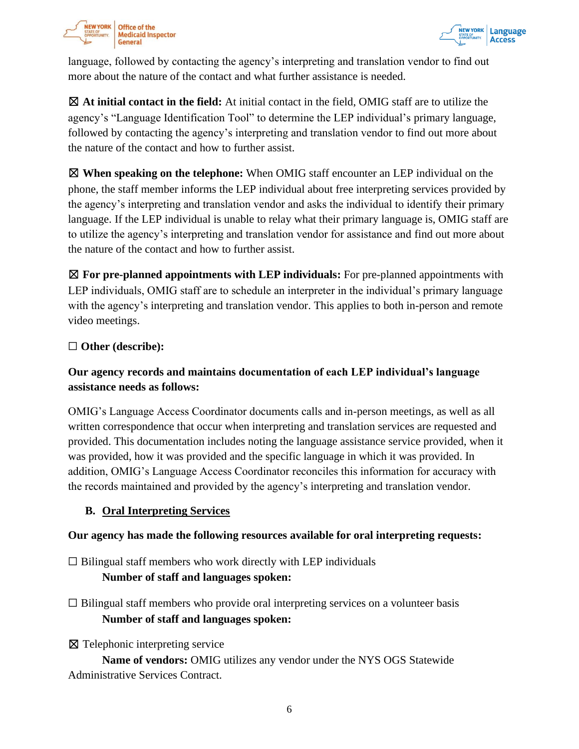



language, followed by contacting the agency's interpreting and translation vendor to find out more about the nature of the contact and what further assistance is needed.

☒ **At initial contact in the field:** At initial contact in the field, OMIG staff are to utilize the agency's "Language Identification Tool" to determine the LEP individual's primary language, followed by contacting the agency's interpreting and translation vendor to find out more about the nature of the contact and how to further assist.

☒ **When speaking on the telephone:** When OMIG staff encounter an LEP individual on the phone, the staff member informs the LEP individual about free interpreting services provided by the agency's interpreting and translation vendor and asks the individual to identify their primary language. If the LEP individual is unable to relay what their primary language is, OMIG staff are to utilize the agency's interpreting and translation vendor for assistance and find out more about the nature of the contact and how to further assist.

☒ **For pre-planned appointments with LEP individuals:** For pre-planned appointments with LEP individuals, OMIG staff are to schedule an interpreter in the individual's primary language with the agency's interpreting and translation vendor. This applies to both in-person and remote video meetings.

#### ☐ **Other (describe):**

# **Our agency records and maintains documentation of each LEP individual's language assistance needs as follows:**

OMIG's Language Access Coordinator documents calls and in-person meetings, as well as all written correspondence that occur when interpreting and translation services are requested and provided. This documentation includes noting the language assistance service provided, when it was provided, how it was provided and the specific language in which it was provided. In addition, OMIG's Language Access Coordinator reconciles this information for accuracy with the records maintained and provided by the agency's interpreting and translation vendor.

#### **B. Oral Interpreting Services**

#### **Our agency has made the following resources available for oral interpreting requests:**

 $\Box$  Bilingual staff members who work directly with LEP individuals **Number of staff and languages spoken:**

 $\Box$  Bilingual staff members who provide oral interpreting services on a volunteer basis **Number of staff and languages spoken:**

☒ Telephonic interpreting service

**Name of vendors:** OMIG utilizes any vendor under the NYS OGS Statewide Administrative Services Contract.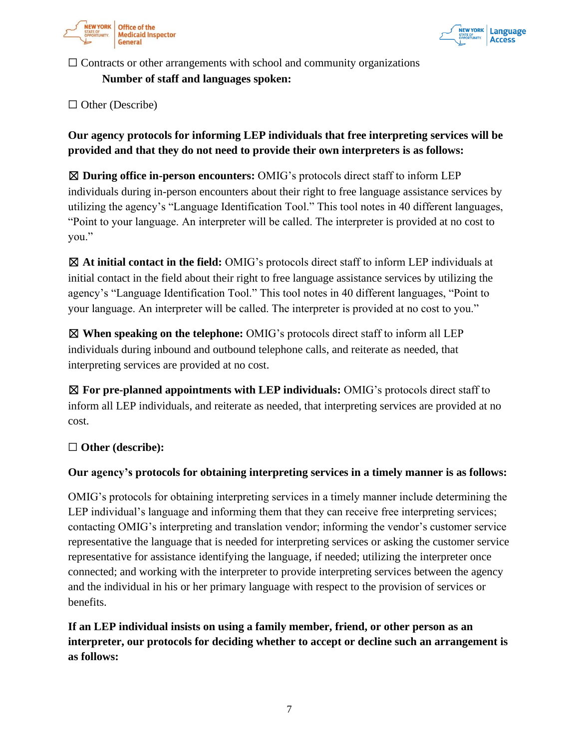



 $\Box$  Contracts or other arrangements with school and community organizations

#### **Number of staff and languages spoken:**

□ Other (Describe)

**Our agency protocols for informing LEP individuals that free interpreting services will be provided and that they do not need to provide their own interpreters is as follows:**

☒ **During office in-person encounters:** OMIG's protocols direct staff to inform LEP individuals during in-person encounters about their right to free language assistance services by utilizing the agency's "Language Identification Tool." This tool notes in 40 different languages, "Point to your language. An interpreter will be called. The interpreter is provided at no cost to you."

☒ **At initial contact in the field:** OMIG's protocols direct staff to inform LEP individuals at initial contact in the field about their right to free language assistance services by utilizing the agency's "Language Identification Tool." This tool notes in 40 different languages, "Point to your language. An interpreter will be called. The interpreter is provided at no cost to you."

☒ **When speaking on the telephone:** OMIG's protocols direct staff to inform all LEP individuals during inbound and outbound telephone calls, and reiterate as needed, that interpreting services are provided at no cost.

☒ **For pre-planned appointments with LEP individuals:** OMIG's protocols direct staff to inform all LEP individuals, and reiterate as needed, that interpreting services are provided at no cost.

#### ☐ **Other (describe):**

#### **Our agency's protocols for obtaining interpreting services in a timely manner is as follows:**

OMIG's protocols for obtaining interpreting services in a timely manner include determining the LEP individual's language and informing them that they can receive free interpreting services; contacting OMIG's interpreting and translation vendor; informing the vendor's customer service representative the language that is needed for interpreting services or asking the customer service representative for assistance identifying the language, if needed; utilizing the interpreter once connected; and working with the interpreter to provide interpreting services between the agency and the individual in his or her primary language with respect to the provision of services or benefits.

**If an LEP individual insists on using a family member, friend, or other person as an interpreter, our protocols for deciding whether to accept or decline such an arrangement is as follows:**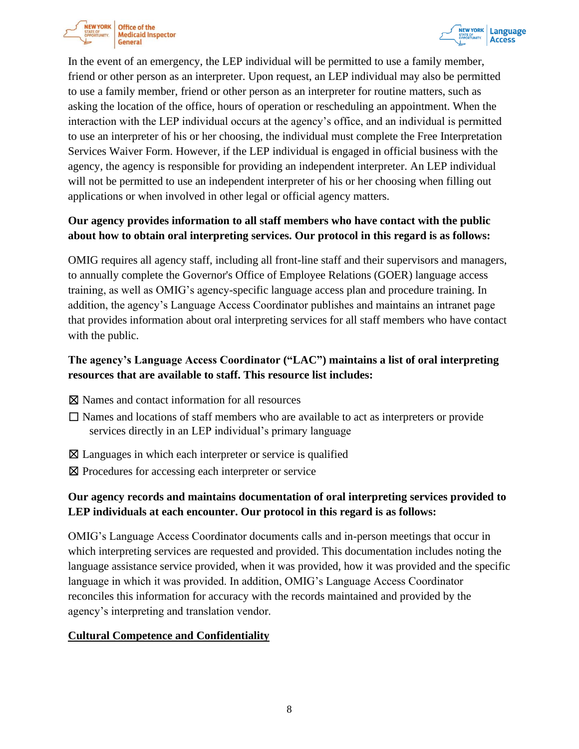



In the event of an emergency, the LEP individual will be permitted to use a family member, friend or other person as an interpreter. Upon request, an LEP individual may also be permitted to use a family member, friend or other person as an interpreter for routine matters, such as asking the location of the office, hours of operation or rescheduling an appointment. When the interaction with the LEP individual occurs at the agency's office, and an individual is permitted to use an interpreter of his or her choosing, the individual must complete the Free Interpretation Services Waiver Form. However, if the LEP individual is engaged in official business with the agency, the agency is responsible for providing an independent interpreter. An LEP individual will not be permitted to use an independent interpreter of his or her choosing when filling out applications or when involved in other legal or official agency matters.

# **Our agency provides information to all staff members who have contact with the public about how to obtain oral interpreting services. Our protocol in this regard is as follows:**

OMIG requires all agency staff, including all front-line staff and their supervisors and managers, to annually complete the Governor's Office of Employee Relations (GOER) language access training, as well as OMIG's agency-specific language access plan and procedure training. In addition, the agency's Language Access Coordinator publishes and maintains an intranet page that provides information about oral interpreting services for all staff members who have contact with the public.

## **The agency's Language Access Coordinator ("LAC") maintains a list of oral interpreting resources that are available to staff. This resource list includes:**

- ☒ Names and contact information for all resources
- $\Box$  Names and locations of staff members who are available to act as interpreters or provide services directly in an LEP individual's primary language
- ⊠ Languages in which each interpreter or service is qualified
- ⊠ Procedures for accessing each interpreter or service

# **Our agency records and maintains documentation of oral interpreting services provided to LEP individuals at each encounter. Our protocol in this regard is as follows:**

OMIG's Language Access Coordinator documents calls and in-person meetings that occur in which interpreting services are requested and provided. This documentation includes noting the language assistance service provided, when it was provided, how it was provided and the specific language in which it was provided. In addition, OMIG's Language Access Coordinator reconciles this information for accuracy with the records maintained and provided by the agency's interpreting and translation vendor.

#### **Cultural Competence and Confidentiality**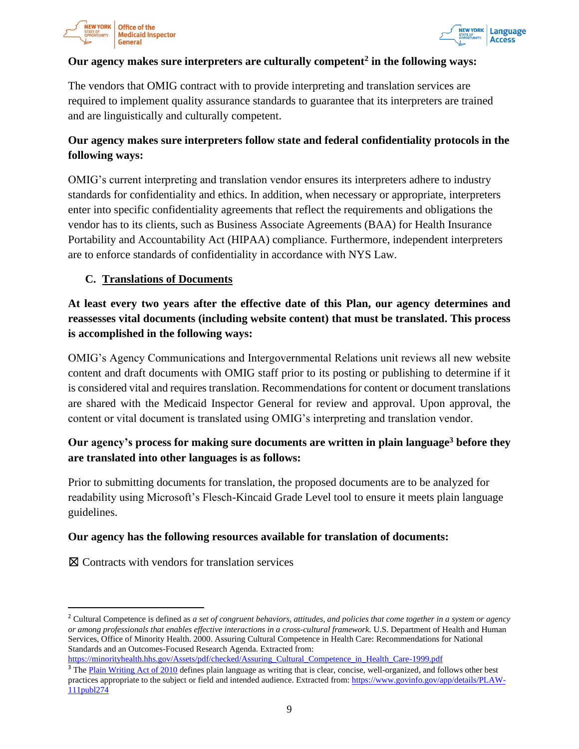



#### **Our agency makes sure interpreters are culturally competent<sup>2</sup> in the following ways:**

The vendors that OMIG contract with to provide interpreting and translation services are required to implement quality assurance standards to guarantee that its interpreters are trained and are linguistically and culturally competent.

# **Our agency makes sure interpreters follow state and federal confidentiality protocols in the following ways:**

OMIG's current interpreting and translation vendor ensures its interpreters adhere to industry standards for confidentiality and ethics. In addition, when necessary or appropriate, interpreters enter into specific confidentiality agreements that reflect the requirements and obligations the vendor has to its clients, such as Business Associate Agreements (BAA) for Health Insurance Portability and Accountability Act (HIPAA) compliance. Furthermore, independent interpreters are to enforce standards of confidentiality in accordance with NYS Law.

#### **C. Translations of Documents**

**At least every two years after the effective date of this Plan, our agency determines and reassesses vital documents (including website content) that must be translated. This process is accomplished in the following ways:**

OMIG's Agency Communications and Intergovernmental Relations unit reviews all new website content and draft documents with OMIG staff prior to its posting or publishing to determine if it is considered vital and requires translation. Recommendations for content or document translations are shared with the Medicaid Inspector General for review and approval. Upon approval, the content or vital document is translated using OMIG's interpreting and translation vendor.

# **Our agency's process for making sure documents are written in plain language<sup>3</sup> before they are translated into other languages is as follows:**

Prior to submitting documents for translation, the proposed documents are to be analyzed for readability using Microsoft's Flesch-Kincaid Grade Level tool to ensure it meets plain language guidelines.

#### **Our agency has the following resources available for translation of documents:**

☒ Contracts with vendors for translation services

```
https://minorityhealth.hhs.gov/Assets/pdf/checked/Assuring_Cultural_Competence_in_Health_Care-1999.pdf
```
<sup>2</sup> Cultural Competence is defined as *a set of congruent behaviors, attitudes, and policies that come together in a system or agency or among professionals that enables effective interactions in a cross-cultural framework.* U.S. Department of Health and Human Services, Office of Minority Health. 2000. Assuring Cultural Competence in Health Care: Recommendations for National Standards and an Outcomes-Focused Research Agenda. Extracted from:

<sup>&</sup>lt;sup>3</sup> The Plain Writing Act of 2010 defines plain language as writing that is clear, concise, well-organized, and follows other best practices appropriate to the subject or field and intended audience. Extracted from: https://www.govinfo.gov/app/details/PLAW-111publ274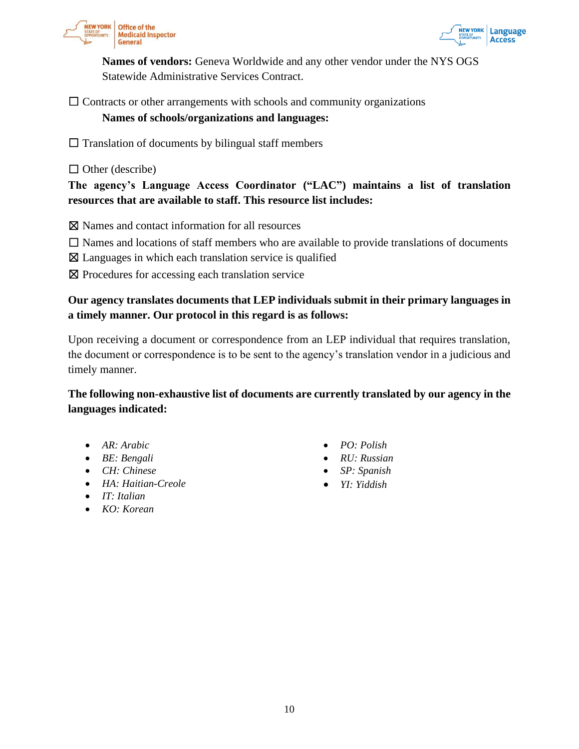



**Names of vendors:** Geneva Worldwide and any other vendor under the NYS OGS Statewide Administrative Services Contract.

 $\Box$  Contracts or other arrangements with schools and community organizations

#### **Names of schools/organizations and languages:**

 $\Box$  Translation of documents by bilingual staff members

 $\Box$  Other (describe)

**The agency's Language Access Coordinator ("LAC") maintains a list of translation resources that are available to staff. This resource list includes:**

☒ Names and contact information for all resources

- $\Box$  Names and locations of staff members who are available to provide translations of documents
- $\boxtimes$  Languages in which each translation service is qualified
- ⊠ Procedures for accessing each translation service

## **Our agency translates documents that LEP individuals submit in their primary languages in a timely manner. Our protocol in this regard is as follows:**

Upon receiving a document or correspondence from an LEP individual that requires translation, the document or correspondence is to be sent to the agency's translation vendor in a judicious and timely manner.

**The following non-exhaustive list of documents are currently translated by our agency in the languages indicated:**

- *AR: Arabic*
- *BE: Bengali*
- *CH: Chinese*
- *HA: Haitian-Creole*
- *IT: Italian*
- *KO: Korean*
- *PO: Polish*
- *RU: Russian*
- *SP: Spanish*
- *YI: Yiddish*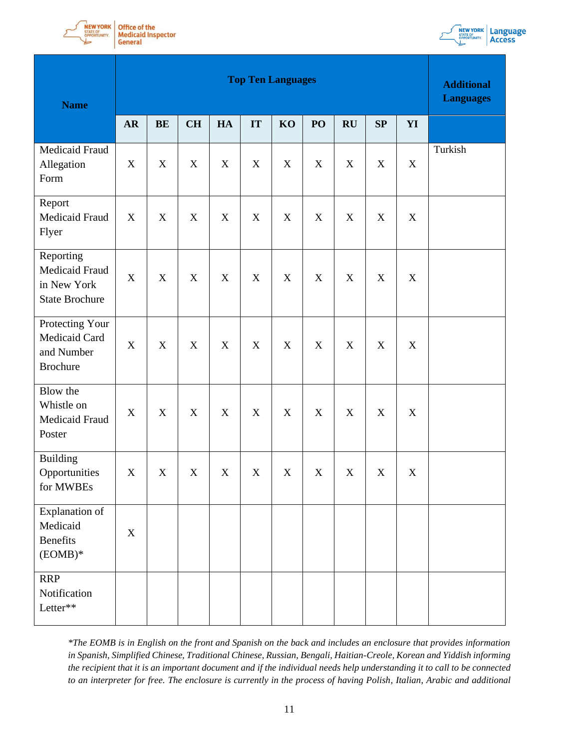



| <b>Name</b>                                                                | <b>Top Ten Languages</b> |               |             |             |                           |                           |                           |             |                           | <b>Additional</b><br><b>Languages</b> |         |
|----------------------------------------------------------------------------|--------------------------|---------------|-------------|-------------|---------------------------|---------------------------|---------------------------|-------------|---------------------------|---------------------------------------|---------|
|                                                                            | <b>AR</b>                | $\mathbf{BE}$ | CH          | HA          | IT                        | KO                        | PO                        | RU          | SP                        | YI                                    |         |
| Medicaid Fraud<br>Allegation<br>Form                                       | $\mathbf X$              | $\mathbf X$   | X           | $\mathbf X$ | $\mathbf X$               | $\boldsymbol{\mathrm{X}}$ | $\mathbf X$               | $\mathbf X$ | $\mathbf X$               | $\mathbf X$                           | Turkish |
| Report<br>Medicaid Fraud<br>Flyer                                          | $\mathbf X$              | $\mathbf X$   | $\mathbf X$ | $\mathbf X$ | $\boldsymbol{\mathrm{X}}$ | $\mathbf X$               | $\mathbf X$               | $\mathbf X$ | $\mathbf X$               | X                                     |         |
| Reporting<br><b>Medicaid Fraud</b><br>in New York<br><b>State Brochure</b> | $\mathbf X$              | X             | X           | $\mathbf X$ | X                         | X                         | $\boldsymbol{\mathrm{X}}$ | $\mathbf X$ | $\boldsymbol{\mathrm{X}}$ | $\mathbf X$                           |         |
| Protecting Your<br>Medicaid Card<br>and Number<br><b>Brochure</b>          | $\mathbf X$              | X             | $\mathbf X$ | $\mathbf X$ | $\mathbf X$               | $\boldsymbol{\mathrm{X}}$ | $\mathbf X$               | $\mathbf X$ | $\mathbf X$               | $\mathbf X$                           |         |
| Blow the<br>Whistle on<br>Medicaid Fraud<br>Poster                         | $\mathbf X$              | $\mathbf X$   | $\mathbf X$ | $\mathbf X$ | $\mathbf X$               | $\boldsymbol{\mathrm{X}}$ | $\mathbf X$               | $\mathbf X$ | $\mathbf X$               | $\mathbf X$                           |         |
| <b>Building</b><br>Opportunities<br>for MWBEs                              | $\mathbf X$              | $\mathbf X$   | X           | $\mathbf X$ | $\boldsymbol{\mathrm{X}}$ | $\mathbf X$               | $\mathbf X$               | $\mathbf X$ | $\mathbf X$               | $\mathbf X$                           |         |
| Explanation of<br>Medicaid<br>Benefits<br>$(EOMB)*$                        | X                        |               |             |             |                           |                           |                           |             |                           |                                       |         |
| <b>RRP</b><br>Notification<br>Letter**                                     |                          |               |             |             |                           |                           |                           |             |                           |                                       |         |

*\*The EOMB is in English on the front and Spanish on the back and includes an enclosure that provides information in Spanish, Simplified Chinese, Traditional Chinese, Russian, Bengali, Haitian-Creole, Korean and Yiddish informing the recipient that it is an important document and if the individual needs help understanding it to call to be connected to an interpreter for free. The enclosure is currently in the process of having Polish, Italian, Arabic and additional*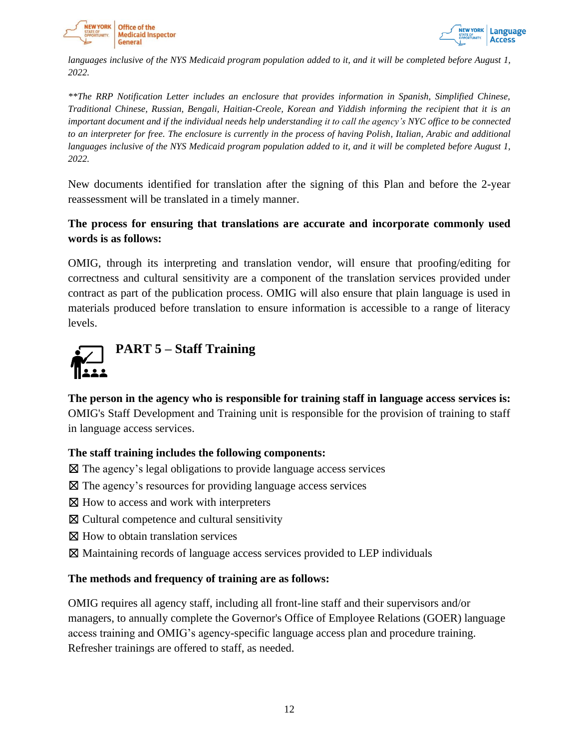



*languages inclusive of the NYS Medicaid program population added to it, and it will be completed before August 1, 2022.*

*\*\*The RRP Notification Letter includes an enclosure that provides information in Spanish, Simplified Chinese, Traditional Chinese, Russian, Bengali, Haitian-Creole, Korean and Yiddish informing the recipient that it is an important document and if the individual needs help understanding it to call the agency's NYC office to be connected to an interpreter for free. The enclosure is currently in the process of having Polish, Italian, Arabic and additional languages inclusive of the NYS Medicaid program population added to it, and it will be completed before August 1, 2022.*

New documents identified for translation after the signing of this Plan and before the 2-year reassessment will be translated in a timely manner.

## **The process for ensuring that translations are accurate and incorporate commonly used words is as follows:**

OMIG, through its interpreting and translation vendor, will ensure that proofing/editing for correctness and cultural sensitivity are a component of the translation services provided under contract as part of the publication process. OMIG will also ensure that plain language is used in materials produced before translation to ensure information is accessible to a range of literacy levels.

<span id="page-11-0"></span>

**The person in the agency who is responsible for training staff in language access services is:** OMIG's Staff Development and Training unit is responsible for the provision of training to staff in language access services.

#### **The staff training includes the following components:**

 $\boxtimes$  The agency's legal obligations to provide language access services

- ☒ The agency's resources for providing language access services
- ⊠ How to access and work with interpreters
- ☒ Cultural competence and cultural sensitivity
- $\boxtimes$  How to obtain translation services
- ☒ Maintaining records of language access services provided to LEP individuals

#### **The methods and frequency of training are as follows:**

OMIG requires all agency staff, including all front-line staff and their supervisors and/or managers, to annually complete the Governor's Office of Employee Relations (GOER) language access training and OMIG's agency-specific language access plan and procedure training. Refresher trainings are offered to staff, as needed.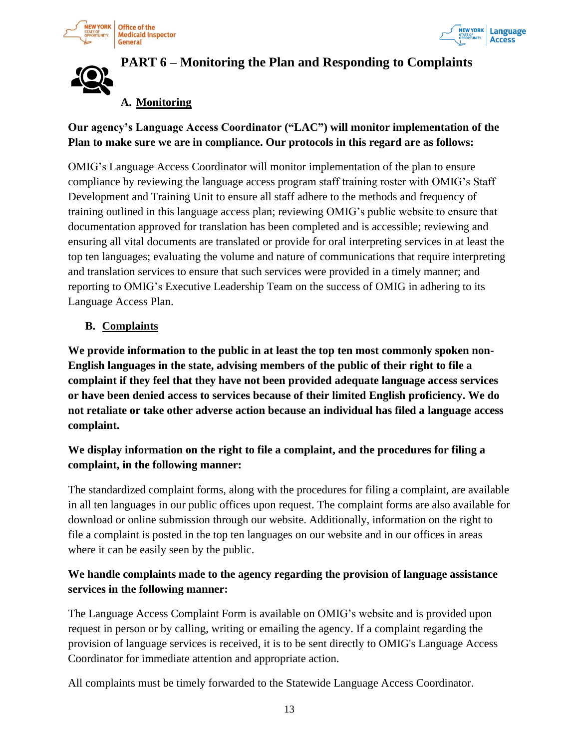





# <span id="page-12-0"></span>**PART 6 – Monitoring the Plan and Responding to Complaints**

# **A. Monitoring**

## **Our agency's Language Access Coordinator ("LAC") will monitor implementation of the Plan to make sure we are in compliance. Our protocols in this regard are as follows:**

OMIG's Language Access Coordinator will monitor implementation of the plan to ensure compliance by reviewing the language access program staff training roster with OMIG's Staff Development and Training Unit to ensure all staff adhere to the methods and frequency of training outlined in this language access plan; reviewing OMIG's public website to ensure that documentation approved for translation has been completed and is accessible; reviewing and ensuring all vital documents are translated or provide for oral interpreting services in at least the top ten languages; evaluating the volume and nature of communications that require interpreting and translation services to ensure that such services were provided in a timely manner; and reporting to OMIG's Executive Leadership Team on the success of OMIG in adhering to its Language Access Plan.

#### **B. Complaints**

**We provide information to the public in at least the top ten most commonly spoken non-English languages in the state, advising members of the public of their right to file a complaint if they feel that they have not been provided adequate language access services or have been denied access to services because of their limited English proficiency. We do not retaliate or take other adverse action because an individual has filed a language access complaint.** 

# **We display information on the right to file a complaint, and the procedures for filing a complaint, in the following manner:**

The standardized complaint forms, along with the procedures for filing a complaint, are available in all ten languages in our public offices upon request. The complaint forms are also available for download or online submission through our website. Additionally, information on the right to file a complaint is posted in the top ten languages on our website and in our offices in areas where it can be easily seen by the public.

### **We handle complaints made to the agency regarding the provision of language assistance services in the following manner:**

The Language Access Complaint Form is available on OMIG's website and is provided upon request in person or by calling, writing or emailing the agency. If a complaint regarding the provision of language services is received, it is to be sent directly to OMIG's Language Access Coordinator for immediate attention and appropriate action.

<span id="page-12-1"></span>All complaints must be timely forwarded to the Statewide Language Access Coordinator.